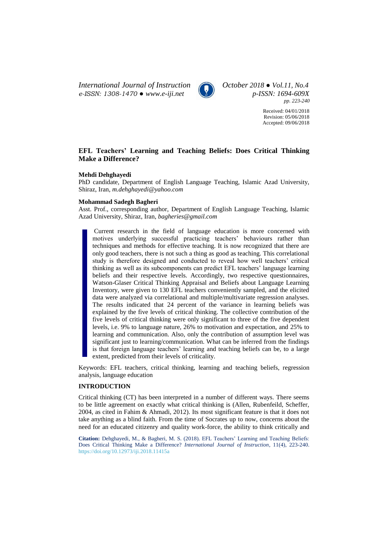*International Journal of Instruction October 2018 ● Vol.11, No.4 e-ISSN: 1308-1470 ● [www.e-iji.net](http://www.e-iji.net/) p-ISSN: 1694-609X*



*pp. 223-240*

Received: 04/01/2018 Revision: 05/06/2018 Accepted: 09/06/2018

# **EFL Teachers' Learning and Teaching Beliefs: Does Critical Thinking Make a Difference?**

#### **Mehdi Dehghayedi**

PhD candidate, Department of English Language Teaching, Islamic Azad University, Shiraz, Iran, *m.dehghayedi@yahoo.com*

### **Mohammad Sadegh Bagheri**

Asst. Prof., corresponding author, Department of English Language Teaching, Islamic Azad University, Shiraz, Iran, *bagheries@gmail.com*

Current research in the field of language education is more concerned with motives underlying successful practicing teachers' behaviours rather than techniques and methods for effective teaching. It is now recognized that there are only good teachers, there is not such a thing as good as teaching. This correlational study is therefore designed and conducted to reveal how well teachers' critical thinking as well as its subcomponents can predict EFL teachers' language learning beliefs and their respective levels. Accordingly, two respective questionnaires, Watson-Glaser Critical Thinking Appraisal and Beliefs about Language Learning Inventory, were given to 130 EFL teachers conveniently sampled, and the elicited data were analyzed via correlational and multiple/multivariate regression analyses. The results indicated that 24 percent of the variance in learning beliefs was explained by the five levels of critical thinking. The collective contribution of the five levels of critical thinking were only significant to three of the five dependent levels, i.e. 9% to language nature, 26% to motivation and expectation, and 25% to learning and communication. Also, only the contribution of assumption level was significant just to learning/communication. What can be inferred from the findings is that foreign language teachers' learning and teaching beliefs can be, to a large extent, predicted from their levels of criticality.

Keywords: EFL teachers, critical thinking, learning and teaching beliefs, regression analysis, language education

### **INTRODUCTION**

Critical thinking (CT) has been interpreted in a number of different ways. There seems to be little agreement on exactly what critical thinking is (Allen, Rubenfeild, Scheffer, 2004, as cited in Fahim & Ahmadi, 2012). Its most significant feature is that it does not take anything as a blind faith. From the time of Socrates up to now, concerns about the need for an educated citizenry and quality work-force, the ability to think critically and

**Citation:** Dehghayedi, M., & Bagheri, M. S. (2018). EFL Teachers' Learning and Teaching Beliefs: Does Critical Thinking Make a Difference? *International Journal of Instruction*, 11(4), 223-240. <https://doi.org/10.12973/iji.2018.11415a>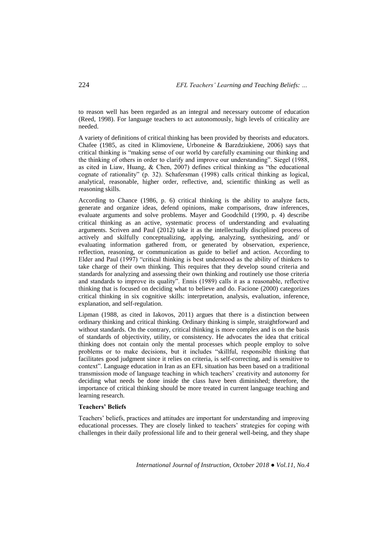to reason well has been regarded as an integral and necessary outcome of education (Reed, 1998). For language teachers to act autonomously, high levels of criticality are needed.

A variety of definitions of critical thinking has been provided by theorists and educators. Chafee (1985, as cited in Klimoviene, Urboneine & Barzdziukiene, 2006) says that critical thinking is "making sense of our world by carefully examining our thinking and the thinking of others in order to clarify and improve our understanding". Siegel (1988, as cited in Liaw, Huang, & Chen, 2007) defines critical thinking as "the educational cognate of rationality" (p. 32). Schafersman (1998) calls critical thinking as logical, analytical, reasonable, higher order, reflective, and, scientific thinking as well as reasoning skills.

According to Chance (1986, p. 6) critical thinking is the ability to analyze facts, generate and organize ideas, defend opinions, make comparisons, draw inferences, evaluate arguments and solve problems. Mayer and Goodchild (1990, p. 4) describe critical thinking as an active, systematic process of understanding and evaluating arguments. Scriven and Paul (2012) take it as the intellectually disciplined process of actively and skilfully conceptualizing, applying, analyzing, synthesizing, and/ or evaluating information gathered from, or generated by observation, experience, reflection, reasoning, or communication as guide to belief and action. According to Elder and Paul (1997) "critical thinking is best understood as the ability of thinkers to take charge of their own thinking. This requires that they develop sound criteria and standards for analyzing and assessing their own thinking and routinely use those criteria and standards to improve its quality". Ennis (1989) calls it as a reasonable, reflective thinking that is focused on deciding what to believe and do. Facione (2000) categorizes critical thinking in six cognitive skills: interpretation, analysis, evaluation, inference, explanation, and self-regulation.

Lipman (1988, as cited in Iakovos, 2011) argues that there is a distinction between ordinary thinking and critical thinking. Ordinary thinking is simple, straightforward and without standards. On the contrary, critical thinking is more complex and is on the basis of standards of objectivity, utility, or consistency. He advocates the idea that critical thinking does not contain only the mental processes which people employ to solve problems or to make decisions, but it includes "skillful, responsible thinking that facilitates good judgment since it relies on criteria, is self-correcting, and is sensitive to context". Language education in Iran as an EFL situation has been based on a traditional transmission mode of language teaching in which teachers' creativity and autonomy for deciding what needs be done inside the class have been diminished; therefore, the importance of critical thinking should be more treated in current language teaching and learning research.

### **Teachers' Beliefs**

Teachers' beliefs, practices and attitudes are important for understanding and improving educational processes. They are closely linked to teachers' strategies for coping with challenges in their daily professional life and to their general well-being, and they shape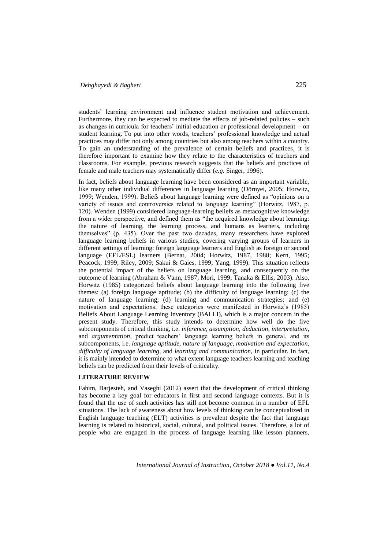students' learning environment and influence student motivation and achievement. Furthermore, they can be expected to mediate the effects of job-related policies – such as changes in curricula for teachers' initial education or professional development – on student learning. To put into other words, teachers' professional knowledge and actual practices may differ not only among countries but also among teachers within a country. To gain an understanding of the prevalence of certain beliefs and practices, it is therefore important to examine how they relate to the characteristics of teachers and classrooms. For example, previous research suggests that the beliefs and practices of female and male teachers may systematically differ (*e.g.* Singer, 1996).

In fact, beliefs about language learning have been considered as an important variable, like many other individual differences in language learning (Dörnyei, 2005; Horwitz, 1999; Wenden, 1999). Beliefs about language learning were defined as "opinions on a variety of issues and controversies related to language learning" (Horwitz, 1987, p. 120). Wenden (1999) considered language-learning beliefs as metacognitive knowledge from a wider perspective, and defined them as "the acquired knowledge about learning: the nature of learning, the learning process, and humans as learners, including themselves" (p. 435). Over the past two decades, many researchers have explored language learning beliefs in various studies, covering varying groups of learners in different settings of learning: foreign language learners and English as foreign or second language (EFL/ESL) learners (Bernat, 2004; Horwitz, 1987, 1988; Kern, 1995; Peacock, 1999; Riley, 2009; Sakui & Gaies, 1999; Yang, 1999). This situation reflects the potential impact of the beliefs on language learning, and consequently on the outcome of learning (Abraham & Vann, 1987; Mori, 1999; Tanaka & Ellis, 2003). Also, Horwitz (1985) categorized beliefs about language learning into the following five themes: (a) foreign language aptitude; (b) the difficulty of language learning; (c) the nature of language learning; (d) learning and communication strategies; and (e) motivation and expectations; these categories were manifested in Horwitz's (1985) Beliefs About Language Learning Inventory (BALLI), which is a major concern in the present study. Therefore, this study intends to determine how well do the five subcomponents of critical thinking, i.e. *inference*, *assumption, deduction, interpretation,*  and *argumentation*, predict teachers' language learning beliefs in general, and its subcomponents, i.e. *language aptitude, nature of language, motivation and expectation, difficulty of language learning,* and *learning and communication,* in particular. In fact, it is mainly intended to determine to what extent language teachers learning and teaching beliefs can be predicted from their levels of criticality.

### **LITERATURE REVIEW**

Fahim, Barjesteh, and Vaseghi (2012) assert that the development of critical thinking has become a key goal for educators in first and second language contexts. But it is found that the use of such activities has still not become common in a number of EFL situations. The lack of awareness about how levels of thinking can be conceptualized in English language teaching (ELT) activities is prevalent despite the fact that language learning is related to historical, social, cultural, and political issues. Therefore, a lot of people who are engaged in the process of language learning like lesson planners,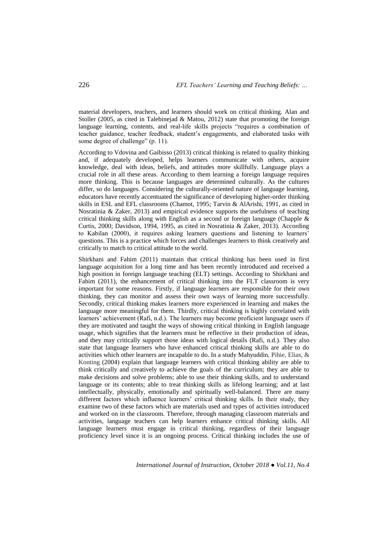material developers, teachers, and learners should work on critical thinking. Alan and Stoller (2005, as cited in Talebineiad & Matou, 2012) state that promoting the foreign language learning, contents, and real-life skills projects "requires a combination of teacher guidance, teacher feedback, student's engagements, and elaborated tasks with some degree of challenge" (p. 11).

According to Vdovina and Gaibisso (2013) critical thinking is related to quality thinking and, if adequately developed, helps learners communicate with others, acquire knowledge, deal with ideas, beliefs, and attitudes more skillfully. Language plays a crucial role in all these areas. According to them learning a foreign language requires more thinking. This is because languages are determined culturally. As the cultures differ, so do languages. Considering the culturally-oriented nature of language learning, educators have recently accentuated the significance of developing higher-order thinking skills in ESL and EFL classrooms (Chamot, 1995; Tarvin & AlArishi, 1991, as cited in Nosratinia & Zaker, 2013) and empirical evidence supports the usefulness of teaching critical thinking skills along with English as a second or foreign language (Chapple & Curtis, 2000; Davidson, 1994, 1995, as cited in Nosratinia & Zaker, 2013). According to Kabilan (2000), it requires asking learners questions and listening to learners' questions. This is a practice which forces and challenges learners to think creatively and critically to match to critical attitude to the world.

Shirkhani and Fahim (2011) maintain that critical thinking has been used in first language acquisition for a long time and has been recently introduced and received a high position in foreign language teaching (ELT) settings. According to Shirkhani and Fahim (2011), the enhancement of critical thinking into the FLT classroom is very important for some reasons. Firstly, if language learners are responsible for their own thinking, they can monitor and assess their own ways of learning more successfully. Secondly, critical thinking makes learners more experienced in learning and makes the language more meaningful for them. Thirdly, critical thinking is highly correlated with learners' achievement (Rafi, n.d.). The learners may become proficient language users if they are motivated and taught the ways of showing critical thinking in English language usage, which signifies that the learners must be reflective in their production of ideas, and they may critically support those ideas with logical details (Rafi, n.d.). They also state that language learners who have enhanced critical thinking skills are able to do activities which other learners are incapable to do. In a study Mahyuddin, Pihie, Elias, & Konting (2004) explain that language learners with critical thinking ability are able to think critically and creatively to achieve the goals of the curriculum; they are able to make decisions and solve problems; able to use their thinking skills, and to understand language or its contents; able to treat thinking skills as lifelong learning; and at last intellectually, physically, emotionally and spiritually well-balanced. There are many different factors which influence learners' critical thinking skills. In their study, they examine two of these factors which are materials used and types of activities introduced and worked on in the classroom. Therefore, through managing classroom materials and activities, language teachers can help learners enhance critical thinking skills. All language learners must engage in critical thinking, regardless of their language proficiency level since it is an ongoing process. Critical thinking includes the use of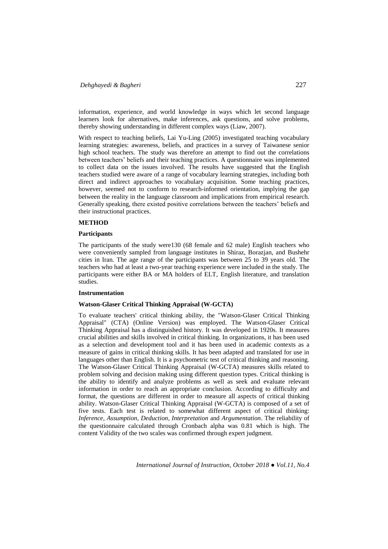information, experience, and world knowledge in ways which let second language learners look for alternatives, make inferences, ask questions, and solve problems, thereby showing understanding in different complex ways (Liaw, 2007).

With respect to teaching beliefs, Lai Yu-Ling (2005) investigated teaching vocabulary learning strategies: awareness, beliefs, and practices in a survey of Taiwanese senior high school teachers. The study was therefore an attempt to find out the correlations between teachers' beliefs and their teaching practices. A questionnaire was implemented to collect data on the issues involved. The results have suggested that the English teachers studied were aware of a range of vocabulary learning strategies, including both direct and indirect approaches to vocabulary acquisition. Some teaching practices, however, seemed not to conform to research-informed orientation, implying the gap between the reality in the language classroom and implications from empirical research. Generally speaking, there existed positive correlations between the teachers' beliefs and their instructional practices.

### **METHOD**

#### **Participants**

The participants of the study were130 (68 female and 62 male) English teachers who were conveniently sampled from language institutes in Shiraz, Borazjan, and Bushehr cities in Iran. The age range of the participants was between 25 to 39 years old. The teachers who had at least a two-year teaching experience were included in the study. The participants were either BA or MA holders of ELT, English literature, and translation studies.

#### **Instrumentation**

### **Watson-Glaser Critical Thinking Appraisal (W-GCTA)**

To evaluate teachers' critical thinking ability, the "Watson-Glaser Critical Thinking Appraisal" (CTA) (Online Version) was employed. The Watson-Glaser Critical Thinking Appraisal has a distinguished history. It was developed in 1920s. It measures crucial abilities and skills involved in critical thinking. In organizations, it has been used as a selection and development tool and it has been used in academic contexts as a measure of gains in critical thinking skills. It has been adapted and translated for use in languages other than English. It is a psychometric test of critical thinking and reasoning. The Watson-Glaser Critical Thinking Appraisal (W-GCTA) measures skills related to problem solving and decision making using different question types. Critical thinking is the ability to identify and analyze problems as well as seek and evaluate relevant information in order to reach an appropriate conclusion. According to difficulty and format, the questions are different in order to measure all aspects of critical thinking ability. Watson-Glaser Critical Thinking Appraisal (W-GCTA) is composed of a set of five tests. Each test is related to somewhat different aspect of critical thinking: *Inference*, *Assumption*, *Deduction*, *Interpretation* and *Argumentation*. The reliability of the questionnaire calculated through Cronbach alpha was 0.81 which is high. The content Validity of the two scales was confirmed through expert judgment.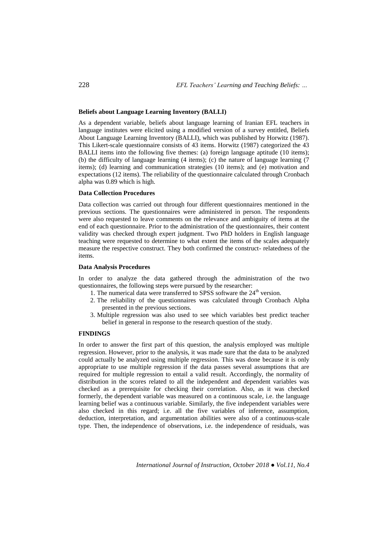### **Beliefs about Language Learning Inventory (BALLI)**

As a dependent variable, beliefs about language learning of Iranian EFL teachers in language institutes were elicited using a modified version of a survey entitled, Beliefs About Language Learning Inventory (BALLI), which was published by Horwitz (1987). This Likert-scale questionnaire consists of 43 items. Horwitz (1987) categorized the 43 BALLI items into the following five themes: (a) foreign language aptitude (10 items); (b) the difficulty of language learning (4 items); (c) the nature of language learning (7 items); (d) learning and communication strategies (10 items); and (e) motivation and expectations (12 items). The reliability of the questionnaire calculated through Cronbach alpha was 0.89 which is high.

#### **Data Collection Procedures**

Data collection was carried out through four different questionnaires mentioned in the previous sections. The questionnaires were administered in person. The respondents were also requested to leave comments on the relevance and ambiguity of items at the end of each questionnaire. Prior to the administration of the questionnaires, their content validity was checked through expert judgment. Two PhD holders in English language teaching were requested to determine to what extent the items of the scales adequately measure the respective construct. They both confirmed the construct- relatedness of the items.

### **Data Analysis Procedures**

In order to analyze the data gathered through the administration of the two questionnaires, the following steps were pursued by the researcher:

- 1. The numerical data were transferred to SPSS software the  $24<sup>th</sup>$  version.
- 2. The reliability of the questionnaires was calculated through Cronbach Alpha presented in the previous sections.
- 3. Multiple regression was also used to see which variables best predict teacher belief in general in response to the research question of the study.

## **FINDINGS**

In order to answer the first part of this question, the analysis employed was multiple regression. However, prior to the analysis, it was made sure that the data to be analyzed could actually be analyzed using multiple regression. This was done because it is only appropriate to use multiple regression if the data passes several assumptions that are required for multiple regression to entail a valid result. Accordingly, the normality of distribution in the scores related to all the independent and dependent variables was checked as a prerequisite for checking their correlation. Also, as it was checked formerly, the dependent variable was measured on a continuous scale, i.e. the language learning belief was a continuous variable. Similarly, the five independent variables were also checked in this regard; i.e. all the five variables of inference, assumption, deduction, interpretation, and argumentation abilities were also of a continuous-scale type. Then, the independence of observations, i.e. the independence of residuals, was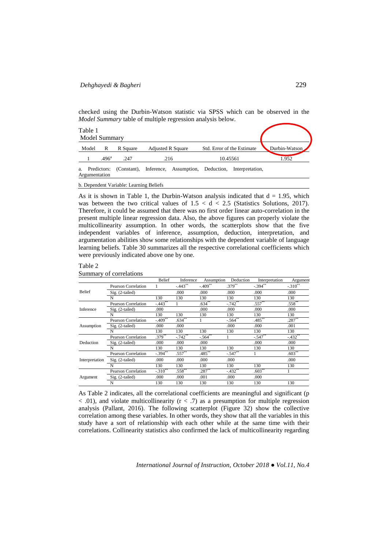checked using the Durbin-Watson statistic via SPSS which can be observed in the *Model Summary* table of multiple regression analysis below.

| R                 | R Square                                            |               |                                  | Durbin-Watson                                                                                           |
|-------------------|-----------------------------------------------------|---------------|----------------------------------|---------------------------------------------------------------------------------------------------------|
| .496 <sup>a</sup> | .247                                                |               |                                  | 1.952                                                                                                   |
|                   |                                                     |               |                                  |                                                                                                         |
|                   | Table 1<br>Model<br>a. Predictors:<br>Argumentation | Model Summary | <b>Adjusted R Square</b><br>.216 | Std. Error of the Estimate<br>10.45561<br>(Constant), Inference, Assumption, Deduction, Interpretation, |

b. Dependent Variable: Learning Beliefs

As it is shown in Table 1, the Durbin-Watson analysis indicated that  $d = 1.95$ , which was between the two critical values of  $1.5 < d < 2.5$  (Statistics Solutions, 2017). Therefore, it could be assumed that there was no first order linear auto-correlation in the present multiple linear regression data. Also, the above figures can properly violate the multicollinearity assumption. In other words, the scatterplots show that the five independent variables of inference, assumption, deduction, interpretation, and argumentation abilities show some relationships with the dependent variable of language learning beliefs. Table 30 summarizes all the respective correlational coefficients which were previously indicated above one by one.

# Table 2

| Summary of correlations |  |  |  |
|-------------------------|--|--|--|
|-------------------------|--|--|--|

|                |                            | Belief      | Inference  | Assumption            | Deduction  | Interpretation | Argument   |
|----------------|----------------------------|-------------|------------|-----------------------|------------|----------------|------------|
|                | <b>Pearson Correlation</b> |             | $-.443***$ | $-.409**$             | $.379***$  | $-.394**$      | $-.310**$  |
| <b>Belief</b>  | Sig. (2-tailed)            |             | .000       | .000                  | .000       | .000           | .000       |
|                | N                          | 130         | 130        | 130                   | 130        | 130            | 130        |
|                | <b>Pearson Correlation</b> | $-443**$    |            | $.634***$             | $-.742$    | $.557***$      | $.558***$  |
| Inference      | Sig. (2-tailed)            | .000        |            | .000                  | .000       | .000           | .000       |
|                | N                          | 130         | 130        | 130                   | 130        | 130            | 130        |
|                | Pearson Correlation        | $-.409**$   | $.634***$  |                       | $-.564$ ** | $.485***$      | $.287***$  |
| Assumption     | $Sig. (2-tailed)$          | .000        | .000       |                       | .000       | .000           | .001       |
|                | N                          | 130         | 130        | 130                   | 130        | 130            | 130        |
|                | <b>Pearson Correlation</b> | $.379**$    | $-742$     | $-.564$ <sup>**</sup> |            | $-547$         | $-.432$ ** |
| Deduction      | Sig. (2-tailed)            | .000        | .000       | .000                  |            | .000           | .000       |
|                | N                          | 130         | 130        | 130                   | 130        | 130            | 130        |
|                | <b>Pearson Correlation</b> | $-394^{**}$ | $.557**$   | $.485$ <sup>**</sup>  | $-.547$    |                | $.603**$   |
| Interpretation | Sig. (2-tailed)            | .000        | .000       | .000                  | .000       |                | .000       |
|                | N                          | 130         | 130        | 130                   | 130        | 130            | 130        |
|                | <b>Pearson Correlation</b> | $-310^{**}$ | $.558***$  | $.287***$             | $-.432$ ** | $.603***$      |            |
| Argument       | Sig. (2-tailed)            | .000        | .000       | .001                  | .000       | .000           |            |
|                | N                          | 130         | 130        | 130                   | 130        | 130            | 130        |

As Table 2 indicates, all the correlational coefficients are meaningful and significant (p  $<$  0.01), and violate multicollinearity ( $r <$  0.7) as a presumption for multiple regression analysis (Pallant, 2016). The following scatterplot (Figure 32) show the collective correlation among these variables. In other words, they show that all the variables in this study have a sort of relationship with each other while at the same time with their correlations. Collinearity statistics also confirmed the lack of multicollinearity regarding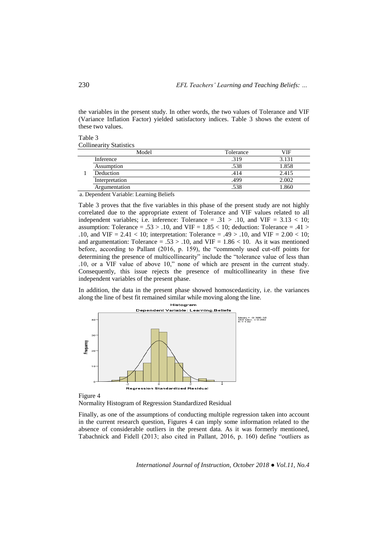the variables in the present study. In other words, the two values of Tolerance and VIF (Variance Inflation Factor) yielded satisfactory indices. Table 3 shows the extent of these two values.

Table 3 Collinearity Statistics

| Model          | Tolerance | VIF   |
|----------------|-----------|-------|
| Inference      | .319      | 3.131 |
| Assumption     | .538      | .858  |
| Deduction      | .414      | 2.415 |
| Interpretation | .499      | 2.002 |
| Argumentation  |           | 860   |

a. Dependent Variable: Learning Beliefs

Table 3 proves that the five variables in this phase of the present study are not highly correlated due to the appropriate extent of Tolerance and VIF values related to all independent variables; i.e. inference: Tolerance = .31 > .10, and VIF =  $3.13 < 10$ ; assumption: Tolerance = .53 > .10, and VIF =  $1.85 < 10$ ; deduction: Tolerance = .41 > .10, and VIF =  $2.41 < 10$ ; interpretation: Tolerance =  $.49 > .10$ , and VIF =  $2.00 < 10$ ; and argumentation: Tolerance = .53 > .10, and VIF =  $1.86 < 10$ . As it was mentioned before, according to Pallant (2016, p. 159), the "commonly used cut-off points for determining the presence of multicollinearity" include the "tolerance value of less than .10, or a VIF value of above 10," none of which are present in the current study. Consequently, this issue rejects the presence of multicollinearity in these five independent variables of the present phase.

In addition, the data in the present phase showed homoscedasticity, i.e. the variances along the line of best fit remained similar while moving along the line.



Normality Histogram of Regression Standardized Residual

Finally, as one of the assumptions of conducting multiple regression taken into account in the current research question, Figures 4 can imply some information related to the absence of considerable outliers in the present data. As it was formerly mentioned, Tabachnick and Fidell (2013; also cited in Pallant, 2016, p. 160) define "outliers as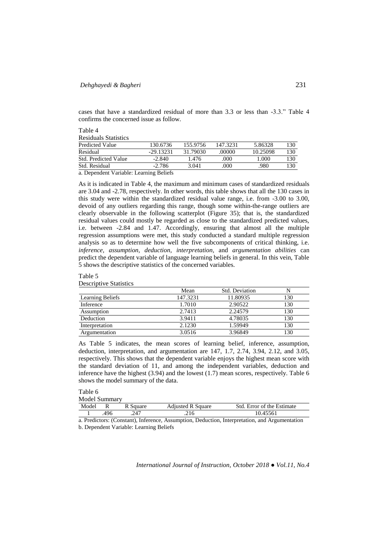cases that have a standardized residual of more than 3.3 or less than -3.3." Table 4 confirms the concerned issue as follow.

Table 4

| <b>Residuals Statistics</b> |             |          |          |          |     |
|-----------------------------|-------------|----------|----------|----------|-----|
| Predicted Value             | 130.6736    | 155.9756 | 147.3231 | 5.86328  | 130 |
| Residual                    | $-29.13231$ | 31.79030 | .00000   | 10.25098 | 130 |
| Std. Predicted Value        | $-2.840$    | 1.476    | .000     | .000     | 130 |
| Std. Residual               | $-2.786$    | 3.041    | .000     | .980     | 130 |

a. Dependent Variable: Learning Beliefs

As it is indicated in Table 4, the maximum and minimum cases of standardized residuals are 3.04 and -2.78, respectively. In other words, this table shows that all the 130 cases in this study were within the standardized residual value range, i.e. from -3.00 to 3.00, devoid of any outliers regarding this range, though some within-the-range outliers are clearly observable in the following scatterplot (Figure 35); that is, the standardized residual values could mostly be regarded as close to the standardized predicted values, i.e. between -2.84 and 1.47. Accordingly, ensuring that almost all the multiple regression assumptions were met, this study conducted a standard multiple regression analysis so as to determine how well the five subcomponents of critical thinking, i.e. *inference, assumption, deduction, interpretation,* and *argumentation abilities* can predict the dependent variable of language learning beliefs in general. In this vein, Table 5 shows the descriptive statistics of the concerned variables.

| Table 5                       |  |
|-------------------------------|--|
| <b>Descriptive Statistics</b> |  |

|                         | Mean     | Std. Deviation |     |
|-------------------------|----------|----------------|-----|
| <b>Learning Beliefs</b> | 147.3231 | 11.80935       | 130 |
| Inference               | 1.7010   | 2.90522        | 130 |
| Assumption              | 2.7413   | 2.24579        | 130 |
| Deduction               | 3.9411   | 4.78035        | 130 |
| Interpretation          | 2.1230   | 1.59949        | 130 |
| Argumentation           | 3.0516   | 3.96849        | 130 |

As Table 5 indicates, the mean scores of learning belief, inference, assumption, deduction, interpretation, and argumentation are 147, 1.7, 2.74, 3.94, 2.12, and 3.05, respectively. This shows that the dependent variable enjoys the highest mean score with the standard deviation of 11, and among the independent variables, deduction and inference have the highest (3.94) and the lowest (1.7) mean scores, respectively. Table 6 shows the model summary of the data.

#### Table 6 Model Summary

|              | VIOUCI DUIIIIIIII V |                   |                          |                            |
|--------------|---------------------|-------------------|--------------------------|----------------------------|
| Model        |                     | Square            | <b>Adjusted R Square</b> | Std. Error of the Estimate |
|              |                     | 247               |                          | 10.45561                   |
| <sup>n</sup> | $\sqrt{ }$          | $\cdots$ $\cdots$ | $\mathbf{r}$             |                            |

a. Predictors: (Constant), Inference, Assumption, Deduction, Interpretation, and Argumentation b. Dependent Variable: Learning Beliefs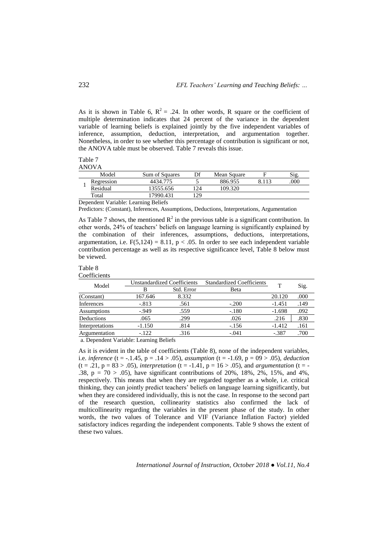As it is shown in Table 6,  $R^2 = .24$ . In other words, R square or the coefficient of multiple determination indicates that 24 percent of the variance in the dependent variable of learning beliefs is explained jointly by the five independent variables of inference, assumption, deduction, interpretation, and argumentation together. Nonetheless, in order to see whether this percentage of contribution is significant or not, the ANOVA table must be observed. Table 7 reveals this issue.

Table 7 ANOVA

| .          |                |     |             |     |     |
|------------|----------------|-----|-------------|-----|-----|
| Model      | Sum of Squares | Df  | Mean Square |     | S12 |
| Regression | 4434.775       |     | 886.955     | 113 | 000 |
| Residual   | 13555.656      | 124 | 109.320     |     |     |
| Total      | 17990.431      | 29  |             |     |     |

Dependent Variable: Learning Beliefs

Predictors: (Constant), Inferences, Assumptions, Deductions, Interpretations, Argumentation

As Table 7 shows, the mentioned  $R^2$  in the previous table is a significant contribution. In other words, 24% of teachers' beliefs on language learning is significantly explained by the combination of their inferences, assumptions, deductions, interpretations, argumentation, i.e.  $F(5,124) = 8.11$ ,  $p < .05$ . In order to see each independent variable contribution percentage as well as its respective significance level, Table 8 below must be viewed.

# Table 8

Coefficients

| Model              | <b>Unstandardized Coefficients</b> |            | <b>Standardized Coefficients</b> | Т        | Sig. |  |
|--------------------|------------------------------------|------------|----------------------------------|----------|------|--|
|                    |                                    | Std. Error | Beta                             |          |      |  |
| (Constant)         | 167.646                            | 8.332      |                                  | 20.120   | .000 |  |
| Inferences         | $-.813$                            | .561       | $-.200$                          | $-1.451$ | .149 |  |
| <b>Assumptions</b> | $-0.949$                           | .559       | $-.180$                          | $-1.698$ | .092 |  |
| Deductions         | .065                               | .299       | .026                             | .216     | .830 |  |
| Interpretations    | $-1.150$                           | .814       | $-.156$                          | $-1.412$ | .161 |  |
| Argumentation      | $-122$                             | .316       | $-.041$                          | $-.387$  | .700 |  |

a. Dependent Variable: Learning Beliefs

As it is evident in the table of coefficients (Table 8), none of the independent variables, i.e. *inference* (t = -.1.45, p = .14 > .05), *assumption* (t = -1.69, p = 09 > .05), *deduction*   $(t = .21, p = 83 > .05)$ , *interpretation*  $(t = -1.41, p = 16 > .05)$ , and *argumentation*  $(t = -1.41, p = 16 > .05)$ .38,  $p = 70 > .05$ ), have significant contributions of 20%, 18%, 2%, 15%, and 4%, respectively. This means that when they are regarded together as a whole, i.e. critical thinking, they can jointly predict teachers' beliefs on language learning significantly, but when they are considered individually, this is not the case. In response to the second part of the research question, collinearity statistics also confirmed the lack of multicollinearity regarding the variables in the present phase of the study. In other words, the two values of Tolerance and VIF (Variance Inflation Factor) yielded satisfactory indices regarding the independent components. Table 9 shows the extent of these two values.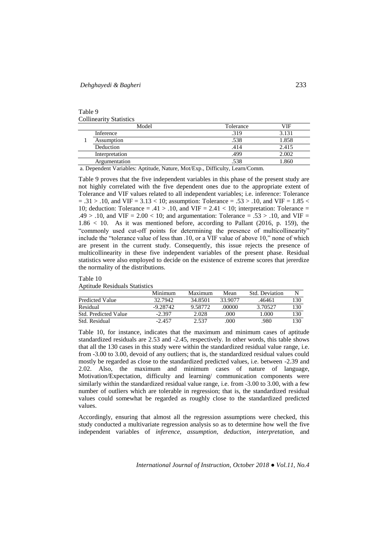### Table 9 Collinearity Statistics

| Model          | Tolerance | νIF   |
|----------------|-----------|-------|
| Inference      | .319      | 3.131 |
| Assumption     | .538      | 1.858 |
| Deduction      | .414      | 2.415 |
| Interpretation | .499      | 2.002 |
| Argumentation  |           | .860  |

a. Dependent Variables: Aptitude, Nature, Mot/Exp., Difficulty, Learn/Comm.

Table 9 proves that the five independent variables in this phase of the present study are not highly correlated with the five dependent ones due to the appropriate extent of Tolerance and VIF values related to all independent variables; i.e. inference: Tolerance  $= .31 > .10$ , and VIF  $= 3.13 < 10$ ; assumption: Tolerance  $= .53 > .10$ , and VIF  $= 1.85 <$ 10; deduction: Tolerance = .41 > .10, and VIF = 2.41 < 10; interpretation: Tolerance = .49 > .10, and VIF =  $2.00 < 10$ ; and argumentation: Tolerance = .53 > .10, and VIF =  $1.86 < 10$ . As it was mentioned before, according to Pallant (2016, p. 159), the "commonly used cut-off points for determining the presence of multicollinearity" include the "tolerance value of less than .10, or a VIF value of above 10," none of which are present in the current study. Consequently, this issue rejects the presence of multicollinearity in these five independent variables of the present phase. Residual statistics were also employed to decide on the existence of extreme scores that jererdize the normality of the distributions.

### Table 10 Aptitude Residuals Statistics

|                             | Minimum    | Maximum | Mean    | Std. Deviation |     |
|-----------------------------|------------|---------|---------|----------------|-----|
| <b>Predicted Value</b>      | 32.7942    | 34.8501 | 33.9077 | .46461         | 130 |
| Residual                    | $-9.28742$ | 9.58772 | .00000  | 3.70527        | 130 |
| <b>Std. Predicted Value</b> | $-2.397$   | 2.028   | .000    | . 000. .       | 130 |
| Std. Residual               | $-2.457$   | 2.537   | .000    | 980            | 130 |

Table 10, for instance, indicates that the maximum and minimum cases of aptitude standardized residuals are 2.53 and -2.45, respectively. In other words, this table shows that all the 130 cases in this study were within the standardized residual value range, i.e. from -3.00 to 3.00, devoid of any outliers; that is, the standardized residual values could mostly be regarded as close to the standardized predicted values, i.e. between -2.39 and 2.02. Also, the maximum and minimum cases of nature of language, Motivation/Expectation, difficulty and learning/ communication components were similarly within the standardized residual value range, i.e. from -3.00 to 3.00, with a few number of outliers which are tolerable in regression; that is, the standardized residual values could somewhat be regarded as roughly close to the standardized predicted values.

Accordingly, ensuring that almost all the regression assumptions were checked, this study conducted a multivariate regression analysis so as to determine how well the five independent variables of *inference, assumption, deduction, interpretation,* and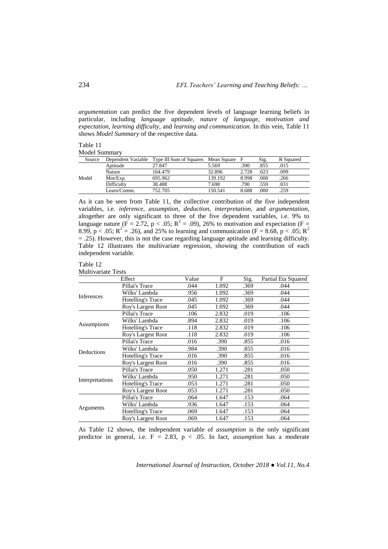*argumentation* can predict the five dependent levels of language learning beliefs in particular, including *language aptitude, nature of language, motivation and expectation, learning difficulty,* and *learning and communication*. In this vein, Table 11 shows *Model Summary* of the respective data.

Table 11 Model Summary

| Source | Dependent Variable | Type III Sum of Squares Mean Square F |         |       | Sig. | R Squared |
|--------|--------------------|---------------------------------------|---------|-------|------|-----------|
| Model  | Aptitude           | 27.847                                | 5.569   | .390  | .855 | .015      |
|        | Nature             | 164.479                               | 32.896  | 2.728 | .023 | .099      |
|        | Mot/Exp.           | 695.962                               | 139.192 | 8.998 | .000 | .266      |
|        | Difficulty         | 38.488                                | 7.698   | .790  | .559 | .031      |
|        | Learn/Comm.        | 752.705                               | 150.541 | 8.688 | .000 | .259      |

As it can be seen from Table 11, the collective contribution of the five independent variables, i.e. *inference, assumption, deduction, interpretation,* and *argumentation*, altogether are only significant to three of the five dependent variables, i.e. 9% to language nature ( $F = 2.72$ ,  $p < .05$ ;  $R^2 = .09$ ), 26% to motivation and expectation ( $F =$ 8.99, p < .05; R<sup>2</sup> = .26), and 25% to learning and communication (F = 8.68, p < .05; R<sup>2</sup> = .25). However, this is not the case regarding language aptitude and learning difficulty. Table 12 illustrates the multivariate regression, showing the contribution of each independent variable.

# Table 12

|                 | Effect                   | Value | F             | Sig. | Partial Eta Squared |
|-----------------|--------------------------|-------|---------------|------|---------------------|
|                 | Pillai's Trace           | .044  | 1.092         | .369 | .044                |
| Inferences      | Wilks' Lambda            | .956  | 1.092         | .369 | .044                |
|                 | Hotelling's Trace        | .045  | 1.092         | .369 | .044                |
|                 | Roy's Largest Root       | .045  | 1.092         | .369 | .044                |
|                 | Pillai's Trace           | .106  | 2.832         | .019 | .106                |
|                 | Wilks' Lambda            | .894  | 2.832         | .019 | .106                |
| Assumptions     | Hotelling's Trace        | .118  | 2.832         | .019 | .106                |
|                 | Roy's Largest Root       | .118  | 2.832         | .019 | .106                |
|                 | Pillai's Trace           | .016  | .390          | .855 | .016                |
| Deductions      | Wilks' Lambda            | .984  | .390          | .855 | .016                |
|                 | <b>Hotelling's Trace</b> | .016  | .390          | .855 | .016                |
|                 | Roy's Largest Root       | .016  | .390          | .855 | .016                |
|                 | Pillai's Trace           | .050  | 1.271         | .281 | .050                |
|                 | Wilks' Lambda            | .950  | 1.271<br>.281 |      | .050                |
| Interpretations | <b>Hotelling's Trace</b> | .053  | 1.271         | .281 | .050                |
|                 | Roy's Largest Root       | .053  | 1.271         | .281 | .050                |
|                 | Pillai's Trace           | .064  | 1.647         | .153 | .064                |
|                 | Wilks' Lambda            | .936  | 1.647         | .153 | .064                |
| Arguments       | <b>Hotelling's Trace</b> | .069  | 1.647         | .153 | .064                |
|                 | Roy's Largest Root       | .069  | 1.647         | .153 | .064                |

As Table 12 shows, the independent variable of *assumption* is the only significant predictor in general, i.e.  $F = 2.83$ ,  $p < .05$ . In fact, *assumption* has a moderate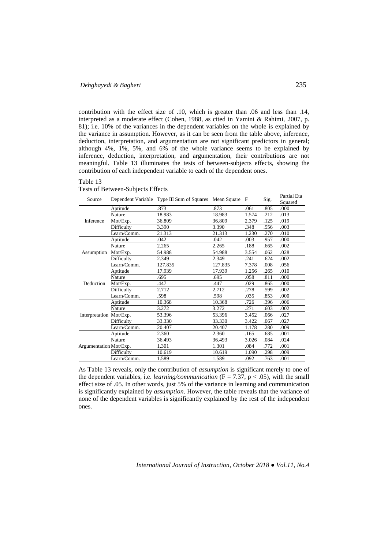contribution with the effect size of .10, which is greater than .06 and less than .14, interpreted as a moderate effect (Cohen, 1988, as cited in Yamini & Rahimi, 2007, p. 81); i.e. 10% of the variances in the dependent variables on the whole is explained by the variance in assumption. However, as it can be seen from the table above, inference, deduction, interpretation, and argumentation are not significant predictors in general; although 4%, 1%, 5%, and 6% of the whole variance seems to be explained by inference, deduction, interpretation, and argumentation, their contributions are not meaningful. Table 13 illuminates the tests of between-subjects effects, showing the contribution of each independent variable to each of the dependent ones.

#### Table 13

Tests of Between-Subjects Effects

| Source                  |             | Dependent Variable Type III Sum of Squares Mean Square |         | F     | Sig. | Partial Eta<br>Squared |
|-------------------------|-------------|--------------------------------------------------------|---------|-------|------|------------------------|
| Inference               | Aptitude    | .873                                                   | .873    | .061  | .805 | .000                   |
|                         | Nature      | 18.983                                                 | 18.983  | 1.574 | .212 | .013                   |
|                         | Mot/Exp.    | 36.809                                                 | 36.809  | 2.379 | .125 | .019                   |
|                         | Difficulty  | 3.390                                                  | 3.390   | .348  | .556 | .003                   |
|                         | Learn/Comm. | 21.313                                                 | 21.313  | 1.230 | .270 | .010                   |
| Assumption              | Aptitude    | .042                                                   | .042    | .003  | .957 | .000                   |
|                         | Nature      | 2.265                                                  | 2.265   | .188  | .665 | .002                   |
|                         | Mot/Exp.    | 54.988                                                 | 54.988  | 3.554 | .062 | .028                   |
|                         | Difficulty  | 2.349                                                  | 2.349   | .241  | .624 | .002                   |
|                         | Learn/Comm. | 127.835                                                | 127.835 | 7.378 | .008 | .056                   |
|                         | Aptitude    | 17.939                                                 | 17.939  | 1.256 | .265 | .010                   |
|                         | Nature      | .695                                                   | .695    | .058  | .811 | .000                   |
| Deduction               | Mot/Exp.    | .447                                                   | .447    | .029  | .865 | .000                   |
|                         | Difficulty  | 2.712                                                  | 2.712   | .278  | .599 | .002                   |
|                         | Learn/Comm. | .598                                                   | .598    | .035  | .853 | .000                   |
|                         | Aptitude    | 10.368                                                 | 10.368  | .726  | .396 | .006                   |
|                         | Nature      | 3.272                                                  | 3.272   | .271  | .603 | .002                   |
| Interpretation Mot/Exp. |             | 53.396                                                 | 53.396  | 3.452 | .066 | .027                   |
|                         | Difficulty  | 33.330                                                 | 33.330  | 3.422 | .067 | .027                   |
|                         | Learn/Comm. | 20.407                                                 | 20.407  | 1.178 | .280 | .009                   |
|                         | Aptitude    | 2.360                                                  | 2.360   | .165  | .685 | .001                   |
|                         | Nature      | 36.493                                                 | 36.493  | 3.026 | .084 | .024                   |
| Argumentation Mot/Exp.  |             | 1.301                                                  | 1.301   | .084  | .772 | .001                   |
|                         | Difficulty  | 10.619                                                 | 10.619  | 1.090 | .298 | .009                   |
|                         | Learn/Comm. | 1.589                                                  | 1.589   | .092  | .763 | .001                   |

As Table 13 reveals, only the contribution of *assumption* is significant merely to one of the dependent variables, i.e. *learning/communication*  $(F = 7.37, p < .05)$ , with the small effect size of .05. In other words, just 5% of the variance in learning and communication is significantly explained by *assumption*. However, the table reveals that the variance of none of the dependent variables is significantly explained by the rest of the independent ones.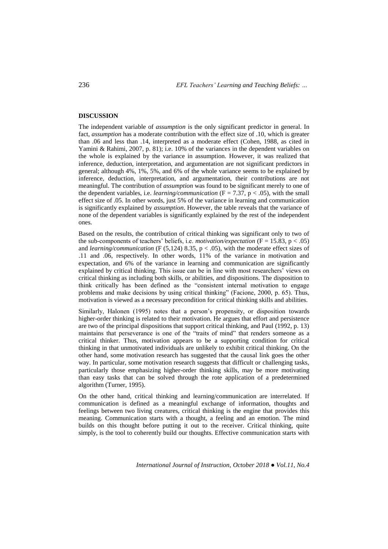#### **DISCUSSION**

The independent variable of *assumption* is the only significant predictor in general. In fact, *assumption* has a moderate contribution with the effect size of .10, which is greater than .06 and less than .14, interpreted as a moderate effect (Cohen, 1988, as cited in Yamini & Rahimi, 2007, p. 81); i.e. 10% of the variances in the dependent variables on the whole is explained by the variance in assumption. However, it was realized that inference, deduction, interpretation, and argumentation are not significant predictors in general; although 4%, 1%, 5%, and 6% of the whole variance seems to be explained by inference, deduction, interpretation, and argumentation, their contributions are not meaningful. The contribution of *assumption* was found to be significant merely to one of the dependent variables, i.e. *learning/communication*  $(F = 7.37, p < .05)$ , with the small effect size of .05. In other words, just 5% of the variance in learning and communication is significantly explained by *assumption*. However, the table reveals that the variance of none of the dependent variables is significantly explained by the rest of the independent ones.

Based on the results, the contribution of critical thinking was significant only to two of the sub-components of teachers' beliefs, i.e. *motivation/expectation* ( $F = 15.83$ ,  $p < .05$ ) and *learning/communication* (F (5,124) 8.35, p < .05), with the moderate effect sizes of .11 and .06, respectively. In other words, 11% of the variance in motivation and expectation, and 6% of the variance in learning and communication are significantly explained by critical thinking. This issue can be in line with most researchers' views on critical thinking as including both skills, or abilities, and dispositions. The disposition to think critically has been defined as the "consistent internal motivation to engage problems and make decisions by using critical thinking" (Facione, 2000, p. 65). Thus, motivation is viewed as a necessary precondition for critical thinking skills and abilities.

Similarly, Halonen (1995) notes that a person's propensity, or disposition towards higher-order thinking is related to their motivation. He argues that effort and persistence are two of the principal dispositions that support critical thinking, and Paul (1992, p. 13) maintains that perseverance is one of the "traits of mind" that renders someone as a critical thinker. Thus, motivation appears to be a supporting condition for critical thinking in that unmotivated individuals are unlikely to exhibit critical thinking. On the other hand, some motivation research has suggested that the causal link goes the other way. In particular, some motivation research suggests that difficult or challenging tasks, particularly those emphasizing higher-order thinking skills, may be more motivating than easy tasks that can be solved through the rote application of a predetermined algorithm (Turner, 1995).

On the other hand, critical thinking and learning/communication are interrelated. If communication is defined as a meaningful exchange of information, thoughts and feelings between two living creatures, critical thinking is the engine that provides this meaning. Communication starts with a thought, a feeling and an emotion. The mind builds on this thought before putting it out to the receiver. Critical thinking, quite simply, is the tool to coherently build our thoughts. Effective communication starts with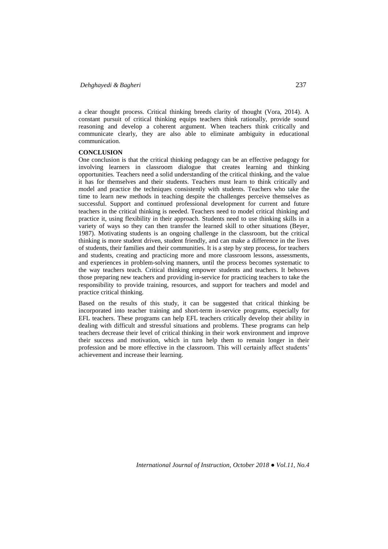a clear thought process. Critical thinking breeds clarity of thought (Vora, 2014). A constant pursuit of critical thinking equips teachers think rationally, provide sound reasoning and develop a coherent argument. When teachers think critically and communicate clearly, they are also able to eliminate ambiguity in educational communication.

#### **CONCLUSION**

One conclusion is that the critical thinking pedagogy can be an effective pedagogy for involving learners in classroom dialogue that creates learning and thinking opportunities. Teachers need a solid understanding of the critical thinking, and the value it has for themselves and their students. Teachers must learn to think critically and model and practice the techniques consistently with students. Teachers who take the time to learn new methods in teaching despite the challenges perceive themselves as successful. Support and continued professional development for current and future teachers in the critical thinking is needed. Teachers need to model critical thinking and practice it, using flexibility in their approach. Students need to use thinking skills in a variety of ways so they can then transfer the learned skill to other situations (Beyer, 1987). Motivating students is an ongoing challenge in the classroom, but the critical thinking is more student driven, student friendly, and can make a difference in the lives of students, their families and their communities. It is a step by step process, for teachers and students, creating and practicing more and more classroom lessons, assessments, and experiences in problem-solving manners, until the process becomes systematic to the way teachers teach. Critical thinking empower students and teachers. It behoves those preparing new teachers and providing in-service for practicing teachers to take the responsibility to provide training, resources, and support for teachers and model and practice critical thinking.

Based on the results of this study, it can be suggested that critical thinking be incorporated into teacher training and short-term in-service programs, especially for EFL teachers. These programs can help EFL teachers critically develop their ability in dealing with difficult and stressful situations and problems. These programs can help teachers decrease their level of critical thinking in their work environment and improve their success and motivation, which in turn help them to remain longer in their profession and be more effective in the classroom. This will certainly affect students' achievement and increase their learning.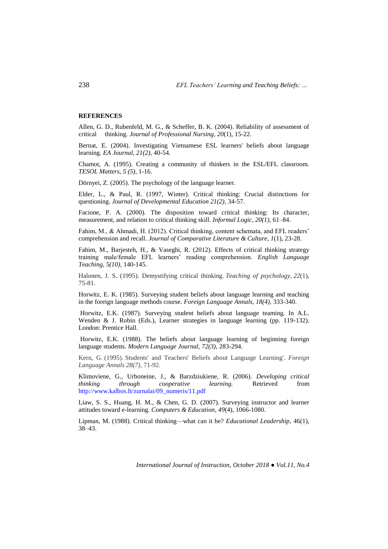#### **REFERENCES**

Allen, G. D., Rubenfeld, M. G., & Scheffer, B. K. (2004). Reliability of assessment of critical thinking. *Journal of Professional Nursing*, *20*(1), 15-22.

Bernat, E. (2004). Investigating Vietnamese ESL learners' beliefs about language learning*. EA Journal, 21(2),* 40-54.

Chamot, A. (1995). Creating a community of thinkers in the ESL/EFL classroom. *TESOL Matters, 5 (5),* 1-16.

Dörnyei, Z. (2005). The psychology of the language learner.

Elder, L., & Paul, R. (1997, Winter). Critical thinking: Crucial distinctions for questioning. *Journal of Developmental Education 21(2)*, 34-57.

Facione, P. A. (2000). The disposition toward critical thinking: Its character, measurement, and relation to critical thinking skill. *Informal Logic, 20(1),* 61–84.

Fahim, M., & Ahmadi, H. (2012). Critical thinking, content schemata, and EFL readers' comprehension and recall. *Journal of Comparative Literature & Culture*, *1*(1), 23-28.

Fahim, M., Barjesteh, H., & Vaseghi, R. (2012). Effects of critical thinking strategy training male/female EFL learners' reading comprehension. *English Language Teaching, 5(10),* 140-145.

Halonen, J. S. (1995). Demystifying critical thinking. *Teaching of psychology*, *22*(1), 75-81.

Horwitz, E. K. (1985). Surveying student beliefs about language learning and teaching in the foreign language methods course. *Foreign Language Annals, 18(4),* 333-340.

Horwitz, E.K. (1987). Surveying student beliefs about language teaming. In A.L. Wenden & J. Robin (Eds.), Learner strategies in language learning (pp. 119-132). London: Prentice Hall.

Horwitz, E.K. (1988). The beliefs about language learning of beginning foreign language students. *Modern Language Journal, 72(3),* 283-294.

Kern, G. (1995). Students' and Teachers' Beliefs about Language Learning'. *Foreign Language Annals 28(7),* 71-92.

Klimoviene, G., Urboneine, J., & Barzdziukiene, R. (2006). *Developing critical thinking through cooperative learning.* Retrieved from [http://www.kalbos.It/zurnalai/09\\_numeris/11.pdf](http://www.kalbos.it/zurnalai/09_numeris/11.pdf)

Liaw, S. S., Huang, H. M., & Chen, G. D. (2007). Surveying instructor and learner attitudes toward e-learning. *Computers & Education*, *49*(4), 1066-1080.

Lipman, M. (1988). Critical thinking—what can it be? *Educational Leadership*, 46(1), 38–43.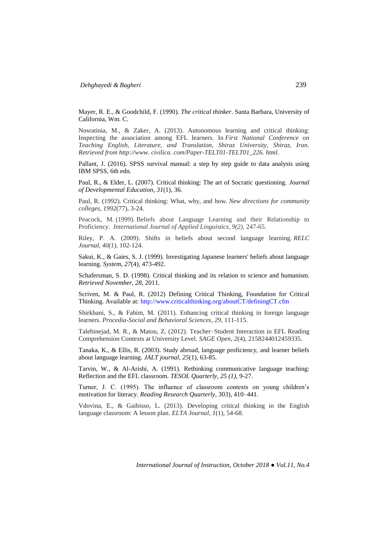Mayer, R. E., & Goodchild, F. (1990)*. The critical thinker*. Santa Barbara, University of California, Wm. C.

Nosratinia, M., & Zaker, A. (2013). Autonomous learning and critical thinking: Inspecting the association among EFL learners. In *First National Conference on Teaching English, Literature, and Translation, Shiraz University, Shiraz, Iran. Retrieved from http://www. civilica. com/Paper-TELT01-TELT01\_226. html*.

Pallant, J. (2016). SPSS survival manual: a step by step guide to data analysis using IBM SPSS, 6th edn.

Paul, R., & Elder, L. (2007). Critical thinking: The art of Socratic questioning. *Journal of Developmental Education*, *31*(1), 36.

Paul, R. (1992). Critical thinking: What, why, and how. *New directions for community colleges*, *1992*(77), 3-24.

Peacock, M. (1999). Beliefs about Language Learning and their Relationship to Proficiency. *International Journal of Applied Linguistics, 9(2),* 247-65.

Riley, P. A. (2009). Shifts in beliefs about second language learning. *RELC Journal, 40(1),* 102-124.

Sakui, K., & Gaies, S. J. (1999). Investigating Japanese learners' beliefs about language learning. *System*, *27*(4), 473-492.

Schafersman, S. D. (1998). Critical thinking and its relation to science and humanism. *Retrieved November*, *28*, 2011.

Scriven, M. & Paul, R. (2012) Defining Critical Thinking, Foundation for Critical Thinking. Available at:<http://www.criticalthinking.org/aboutCT/definingCT.cfm>

Shirkhani, S., & Fahim, M. (2011). Enhancing critical thinking in foreign language learners. *Procedia-Social and Behavioral Sciences*, *29*, 111-115.

Talebinejad, M. R., & Matou, Z. (2012). Teacher–Student Interaction in EFL Reading Comprehension Contexts at University Level. *SAGE Open*, *2*(4), 2158244012459335.

Tanaka, K., & Ellis, R. (2003). Study abroad, language proficiency, and learner beliefs about language learning. *JALT journal*, *25*(1), 63-85.

Tarvin, W., & Al-Arishi, A. (1991). Rethinking communicative language teaching: Reflection and the EFL classroom. *TESOL Quarterly, 25 (1),* 9-27.

Turner, J. C. (1995). The influence of classroom contexts on young children's motivation for literacy. *Reading Research Quarterly*, 303), 410–441.

Vdovina, E., & Gaibisso, L. (2013). Developing critical thinking in the English language classroom: A lesson plan. *ELTA Journal*, *1*(1), 54-68.